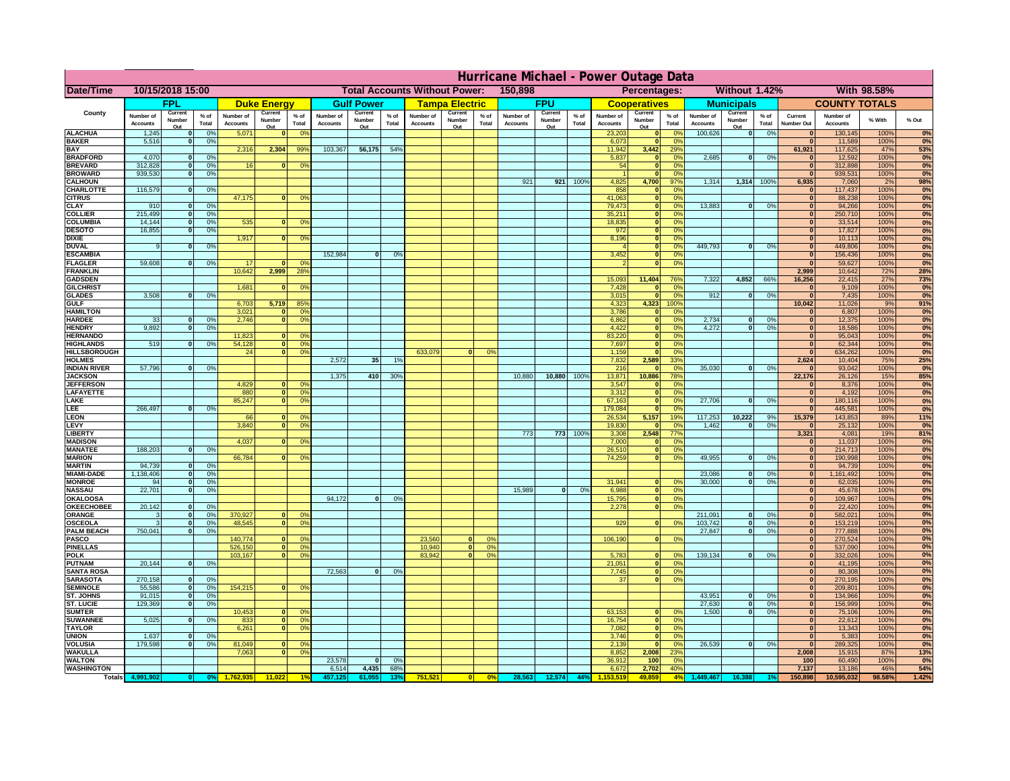|                                         | Hurricane Michael - Power Outage Data |                   |                                  |                              |                     |                                                 |                              |                   |                       |                                              |                                     |                 |                       |                   |                   |                              |                              |                 |                              |                             |                 |                              |                              |              |           |
|-----------------------------------------|---------------------------------------|-------------------|----------------------------------|------------------------------|---------------------|-------------------------------------------------|------------------------------|-------------------|-----------------------|----------------------------------------------|-------------------------------------|-----------------|-----------------------|-------------------|-------------------|------------------------------|------------------------------|-----------------|------------------------------|-----------------------------|-----------------|------------------------------|------------------------------|--------------|-----------|
| Date/Time                               | 10/15/2018 15:00                      |                   |                                  |                              |                     | 150,898<br><b>Total Accounts Without Power:</b> |                              |                   |                       | Without 1.42%<br>With 98.58%<br>Percentages: |                                     |                 |                       |                   |                   |                              |                              |                 |                              |                             |                 |                              |                              |              |           |
|                                         | <b>FPL</b>                            |                   |                                  | <b>Duke Energy</b>           |                     | <b>Gulf Power</b>                               |                              |                   | <b>Tampa Electric</b> |                                              | <b>FPU</b>                          |                 | <b>Cooperatives</b>   |                   | <b>Municipals</b> |                              | <b>COUNTY TOTALS</b>         |                 |                              |                             |                 |                              |                              |              |           |
| County                                  | Number of<br><b>Accounts</b>          | Current<br>Number | % of<br>Total                    | Number of<br><b>Accounts</b> | Current<br>Number   | $%$ of<br>Total                                 | Number of<br><b>Accounts</b> | Current<br>Number | $%$ of<br>Total       | Number of<br><b>Accounts</b>                 | Current<br>Number                   | $%$ of<br>Total | Number of<br>Accounts | Current<br>Number | $%$ of<br>Total   | Number of<br><b>Accounts</b> | Current<br>Number            | $%$ of<br>Total | Number of<br><b>Accounts</b> | Current<br>Number           | $%$ of<br>Total | Current<br><b>Number Out</b> | Number of<br><b>Accounts</b> | % With       | % Out     |
| <b>ALACHUA</b>                          | 1,245                                 | Out               | 0 <sup>9</sup>                   | 5,071                        | Out<br>$\bf{0}$     | 0 <sup>9</sup>                                  |                              | Out               |                       |                                              | Out                                 |                 |                       | Out               |                   | 23,203                       | Out<br>$\mathbf{0}$          | 0 <sup>9</sup>  | 100,626                      | Out<br> 0                   | 0%              | $\bf{0}$                     | 130,145                      | 100%         | 0%        |
| <b>BAKER</b>                            | 5,516                                 |                   | 0%                               |                              |                     |                                                 |                              |                   |                       |                                              |                                     |                 |                       |                   |                   | 6,073                        | ō                            | 0%              |                              |                             |                 | $\bf{0}$                     | 11,589                       | 100%         | 0%        |
| <b>BAY</b><br><b>BRADFORD</b>           | 4,070                                 |                   | 0 <sup>9</sup>                   | 2,316                        | 2,304               | 99%                                             | 103,367                      | 56,175            | 54%                   |                                              |                                     |                 |                       |                   |                   | 11,942<br>5,837              | 3,442<br>$\mathbf{0}$        | 29%<br>0%       | 2,685                        | 0                           | 0%              | 61,921<br>$\bf{0}$           | 117,625<br>12,592            | 47%<br>100%  | 53%<br>0% |
| <b>BREVARD</b>                          | 312,828                               |                   | 0 <sup>9</sup>                   | 16                           | $\mathbf{0}$        | 0%                                              |                              |                   |                       |                                              |                                     |                 |                       |                   |                   | 54                           | $\mathbf{0}$                 | 0%              |                              |                             |                 | $\mathbf{0}$                 | 312,898                      | 100%         | 0%        |
| <b>BROWARD</b>                          | 939.530                               |                   | 0 <sup>9</sup>                   |                              |                     |                                                 |                              |                   |                       |                                              |                                     |                 |                       |                   |                   |                              | $\mathbf{0}$                 | 0%              |                              |                             |                 | $\bf{0}$                     | 939,531                      | 100%         | 0%        |
| <b>CALHOUN</b><br>CHARLOTTE             | 116,579                               |                   | 0%                               |                              |                     |                                                 |                              |                   |                       |                                              |                                     |                 | 921                   | 921               | 100%              | 4,825<br>858                 | 4,700<br>$\mathbf 0$         | 97%<br>0%       | 1,314                        | 1,314 100%                  |                 | 6,935                        | 7,060<br>117,437             | 2%<br>100%   | 98%<br>0% |
| <b>CITRUS</b>                           |                                       |                   |                                  | 47,175                       | $\bf{0}$            | 0 <sup>9</sup>                                  |                              |                   |                       |                                              |                                     |                 |                       |                   |                   | 41,063                       | $\mathbf{0}$                 | 0 <sup>9</sup>  |                              |                             |                 | $\bf{0}$                     | 88,238                       | 100%         | 0%        |
| <b>CLAY</b>                             | 910                                   |                   | 0 <sup>9</sup>                   |                              |                     |                                                 |                              |                   |                       |                                              |                                     |                 |                       |                   |                   | 79,473                       | $\mathbf{0}$                 | 0 <sup>9</sup>  | 13,883                       | $\mathbf{0}$                | 0%              | $\bf{0}$                     | 94,266                       | 100%         | 0%        |
| <b>COLLIER</b><br><b>COLUMBIA</b>       | 215,499<br>14,144                     |                   | 0 <sup>9</sup><br>0 <sup>9</sup> | 535                          | $\bf{0}$            | 0 <sup>9</sup>                                  |                              |                   |                       |                                              |                                     |                 |                       |                   |                   | 35,211<br>18,835             | $\mathbf{0}$<br>ō            | 0%<br>0%        |                              |                             |                 | $\bf{0}$<br>$\bf{0}$         | 250,710<br>33,514            | 100%<br>100% | 0%<br>0%  |
| <b>DESOTO</b>                           | 16,855                                |                   | 0 <sup>9</sup>                   |                              |                     |                                                 |                              |                   |                       |                                              |                                     |                 |                       |                   |                   | 972                          | ō                            | 0%              |                              |                             |                 | $\bf{0}$                     | 17,827                       | 100%         | 0%        |
| <b>DIXIE</b>                            |                                       |                   |                                  | 1,917                        | $\mathbf{0}$        | 0 <sup>o</sup>                                  |                              |                   |                       |                                              |                                     |                 |                       |                   |                   | 8,196                        | $\mathbf{0}$                 | nº              | 449.793                      |                             |                 | $\Omega$                     | 10,113                       | 100%         | 0%        |
| <b>DUVAL</b><br><b>ESCAMBIA</b>         |                                       |                   | 0%                               |                              |                     |                                                 | 152,984                      | $\bf{0}$          | 0 <sup>9</sup>        |                                              |                                     |                 |                       |                   |                   | 3,452                        | $\mathbf{0}$<br>$\mathbf{0}$ | 0%<br>0%        |                              | o                           | 0%              | $\Omega$<br>$\mathbf{0}$     | 449,806<br>156,436           | 100%<br>100% | 0%<br>0%  |
| <b>FLAGLER</b>                          | 59,608                                |                   | 0%                               | 17                           | $\Omega$            | 0 <sup>9</sup>                                  |                              |                   |                       |                                              |                                     |                 |                       |                   |                   |                              | $\bullet$                    | 0%              |                              |                             |                 | $\Omega$                     | 59,627                       | 100%         | 0%        |
| <b>FRANKLIN</b>                         |                                       |                   |                                  | 10,642                       | 2,999               | 28%                                             |                              |                   |                       |                                              |                                     |                 |                       |                   |                   |                              |                              |                 |                              |                             |                 | 2,999                        | 10,642                       | 72%          | 28%       |
| <b>GADSDEN</b><br><b>GILCHRIST</b>      |                                       |                   |                                  | 1,681                        | $\mathbf{0}$        | 0 <sup>9</sup>                                  |                              |                   |                       |                                              |                                     |                 |                       |                   |                   | 15,093<br>7,428              | 11,404<br>$\mathbf{0}$       | 76%<br>0%       | 7,322                        | 4,852                       | 66%             | 16,256<br> 0                 | 22,415<br>9,109              | 27%<br>100%  | 73%<br>0% |
| <b>GLADES</b>                           | 3,508                                 |                   | 0 <sup>9</sup>                   |                              |                     |                                                 |                              |                   |                       |                                              |                                     |                 |                       |                   |                   | 3,015                        | $\bullet$                    | 0%              | 912                          | $\mathbf{0}$                | 0%              | 0                            | 7,435                        | 100%         | 0%        |
| <b>GULF</b>                             |                                       |                   |                                  | 6,703                        | 5,719               | 85%                                             |                              |                   |                       |                                              |                                     |                 |                       |                   |                   | 4,323                        | 4,323                        | 100%            |                              |                             |                 | 10,042                       | 11,026                       | 9%           | 91%       |
| <b>HAMILTON</b><br><b>HARDEE</b>        | 33                                    |                   | 0%                               | 3,021<br>2.746               | $\mathbf{a}$<br>n l | 0 <sup>9</sup><br>0 <sup>9</sup>                |                              |                   |                       |                                              |                                     |                 |                       |                   |                   | 3,786<br>6.862               | $\mathbf{0}$<br> 0           | 0%<br>0%        | 2.734                        | $\mathbf{0}$                | 0%              | $\Omega$<br> 0               | 6,807<br>12,375              | 100%<br>100% | 0%<br>0%  |
| <b>HENDRY</b>                           | 9.892                                 |                   | 0%                               |                              |                     |                                                 |                              |                   |                       |                                              |                                     |                 |                       |                   |                   | 4.422                        | 0                            | 0%              | 4.272                        | $\mathbf{0}$                | 0%              | 0                            | 18.586                       | 100%         | 0%        |
| <b>HERNANDO</b>                         |                                       |                   |                                  | 11,823                       | <sup>o</sup>        | $\Omega$                                        |                              |                   |                       |                                              |                                     |                 |                       |                   |                   | 83,220                       | 0                            | 0%              |                              |                             |                 | 0                            | 95,043                       | 100%         | 0%        |
| <b>HIGHLANDS</b><br><b>HILLSBOROUGH</b> | 519                                   |                   | 0 <sup>9</sup>                   | 54,128<br>24                 |                     | $\overline{0}$<br>0%<br>$\overline{0}$<br>0%    |                              |                   |                       | 633,079                                      |                                     | 0 <sup>9</sup>  |                       |                   |                   | 7,697<br>1,159               | ō<br>$\mathbf{0}$            | 0%<br>0%        |                              |                             |                 | 0 <br> 0                     | 62,344<br>634,262            | 100%<br>100% | 0%<br>0%  |
| <b>HOLMES</b>                           |                                       |                   |                                  |                              |                     |                                                 | 2,572                        | 35                | 1%                    |                                              |                                     |                 |                       |                   |                   | 7,832                        | 2,589                        | 33%             |                              |                             |                 | 2,624                        | 10,404                       | 75%          | 25%       |
| <b>INDIAN RIVER</b>                     | 57,796                                |                   | 0%                               |                              |                     |                                                 |                              |                   |                       |                                              |                                     |                 |                       |                   |                   | 216                          | $\mathbf{0}$                 | 0 <sup>9</sup>  | 35,030                       | $\mathbf{0}$                | 0%              | $\bf{0}$                     | 93,042                       | 100%         | 0%        |
| <b>JACKSON</b><br><b>JEFFERSON</b>      |                                       |                   |                                  | 4,829                        | οI                  | 0 <sup>9</sup>                                  | 1,375                        | 410               | 30%                   |                                              |                                     |                 | 10,880                | 10,880            | 100%              | 13,871<br>3,547              | 10,886<br>$\Omega$           | 78%<br>0%       |                              |                             |                 | 22,176<br>$\Omega$           | 26,126<br>8,376              | 15%<br>100%  | 85%<br>0% |
| LAFAYETTE                               |                                       |                   |                                  | 880                          |                     | $\overline{0}$<br>0%                            |                              |                   |                       |                                              |                                     |                 |                       |                   |                   | 3,312                        | $\mathbf{0}$                 | 0%              |                              |                             |                 | 0                            | 4,192                        | 100%         | 0%        |
| LAKE                                    |                                       |                   |                                  | 85,247                       |                     | $\overline{0}$<br>0%                            |                              |                   |                       |                                              |                                     |                 |                       |                   |                   | 67,163                       | $\mathbf{0}$                 | 0%              | 27,706                       | $\Omega$                    | 0%              | 0                            | 180,116                      | 100%         | 0%        |
| LEE<br><b>LEON</b>                      | 266,497                               |                   | 0%                               | 66                           | $\Omega$            | O <sup>9</sup>                                  |                              |                   |                       |                                              |                                     |                 |                       |                   |                   | 179,084<br>26,534            | $\mathbf{0}$<br>5,157        | 0%<br>19%       | 117,253                      | 10,222                      | 9%              | 0 <br>15,379                 | 445,581<br>143,853           | 100%<br>89%  | 0%<br>11% |
| LEVY                                    |                                       |                   |                                  | 3,840                        | $\Omega$            | 0 <sup>9</sup>                                  |                              |                   |                       |                                              |                                     |                 |                       |                   |                   | 19,830                       | $\mathbf{0}$                 | 0%              | 1,462                        | $\mathbf{0}$                | 0%              | 0                            | 25,132                       | 100%         | 0%        |
| <b>LIBERTY</b>                          |                                       |                   |                                  |                              |                     |                                                 |                              |                   |                       |                                              |                                     |                 | 773                   | 773               | 100%              | 3,308                        | 2,548                        | 77%             |                              |                             |                 | 3,321                        | 4,081                        | 19%          | 81%       |
| <b>MADISON</b><br><b>MANATEE</b>        | 188,203                               | $\Omega$          | 0%                               | 4,037                        | <sup>o</sup>        | 0 <sup>9</sup>                                  |                              |                   |                       |                                              |                                     |                 |                       |                   |                   | 7,000<br>26,510              | $\mathbf{0}$<br> 0           | 0%<br>0%        |                              |                             |                 | 0 <br> 0                     | 11,037<br>214,713            | 100%<br>100% | 0%<br>0%  |
| <b>MARION</b>                           |                                       |                   |                                  | 66,784                       |                     | 0°                                              |                              |                   |                       |                                              |                                     |                 |                       |                   |                   | 74,259                       | 0                            | 0%              | 49,955                       | $\Omega$                    | 0%              | 0                            | 190,998                      | 100%         | 0%        |
| <b>MARTIN</b>                           | 94,739                                | $\Omega$          | 0 <sup>9</sup>                   |                              |                     |                                                 |                              |                   |                       |                                              |                                     |                 |                       |                   |                   |                              |                              |                 |                              |                             |                 | 0                            | 94,739                       | 100%         | 0%        |
| <b>MIAMI-DADE</b><br><b>MONROE</b>      | 1,138,406<br>94                       | $\mathbf{o}$<br>0 | 0 <sup>9</sup><br>0%             |                              |                     |                                                 |                              |                   |                       |                                              |                                     |                 |                       |                   |                   | 31,941                       | $\mathbf{0}$                 | 0 <sup>9</sup>  | 23,086<br>30,000             | $\mathbf 0$<br>$\mathbf{0}$ | 0%<br>0%        | 0 <br> 0                     | 1,161,492<br>62,035          | 100%<br>100% | 0%<br>0%  |
| <b>NASSAU</b>                           | 22,701                                | $\Omega$          | 0%                               |                              |                     |                                                 |                              |                   |                       |                                              |                                     |                 | 15,989                | 0                 | 0%                | 6,988                        | 0                            | 0%              |                              |                             |                 | 0                            | 45,678                       | 100%         | 0%        |
| OKALOOSA                                |                                       |                   |                                  |                              |                     |                                                 | 94,172                       | $\bf{0}$          | 0%                    |                                              |                                     |                 |                       |                   |                   | 15,795                       | 0                            | 0%              |                              |                             |                 | 0                            | 109,967                      | 100%         | 0%        |
| <b>OKEECHOBEE</b><br>ORANGE             | 20,142                                | $\Omega$          | 0 <sup>9</sup><br>0 <sup>9</sup> | 370,927                      | $\Omega$            | 0 <sup>6</sup>                                  |                              |                   |                       |                                              |                                     |                 |                       |                   |                   | 2,278                        | 0                            | 0%              | 211,091                      | $\mathbf{0}$                | 0%              | 0 <br> 0                     | 22,420<br>582,021            | 100%<br>100% | 0%<br>0%  |
| <b>OSCEOLA</b>                          |                                       | $\Omega$          | 0 <sup>9</sup>                   | 48,545                       | $\Omega$            | $\overline{0}$                                  |                              |                   |                       |                                              |                                     |                 |                       |                   |                   | 929                          | 0                            | 0 <sup>9</sup>  | 103,742                      | 0                           | 0%              | 0                            | 153,219                      | 100%         | 0%        |
| <b>PALM BEACH</b>                       | 750,041                               | $\Omega$          | 0 <sup>9</sup>                   |                              |                     |                                                 |                              |                   |                       |                                              |                                     |                 |                       |                   |                   |                              |                              |                 | 27,847                       | ol                          | 0%              | 0                            | 777,888                      | 100%         | 0%        |
| PASCO<br><b>PINELLAS</b>                |                                       |                   |                                  | 140,774<br>526,150           | $\Omega$            | $^{\circ}$<br>0 <sup>9</sup><br> 0              |                              |                   |                       | 23,560<br>10,940                             | $\Omega$<br>$\overline{\mathbf{0}}$ | 0%<br>0%        |                       |                   |                   | 106,190                      | 0                            | 0%              |                              |                             |                 | 0 <br>$\Omega$               | 270,524<br>537,090           | 100%<br>100% | 0%<br>0%  |
| <b>POLK</b>                             |                                       |                   |                                  | 103,167                      |                     | 0 <sup>9</sup><br> 0                            |                              |                   |                       | 83,942                                       | 0                                   | 0%              |                       |                   |                   | 5,783                        | 0                            | nº              | 139,134                      | 0                           | 0%              | 0                            | 332,026                      | 100%         | 0%        |
| <b>PUTNAM</b>                           | 20,144                                | $\mathbf{0}$      | 0%                               |                              |                     |                                                 |                              |                   |                       |                                              |                                     |                 |                       |                   |                   | 21,051                       | 0                            | 0%              |                              |                             |                 | $\bf{0}$                     | 41,195                       | 100%         | 0%        |
| <b>SANTA ROSA</b><br><b>SARASOTA</b>    | 270,158                               | $\Omega$          | 0%                               |                              |                     |                                                 | 72,563                       | 0                 | 0%                    |                                              |                                     |                 |                       |                   |                   | 7,745<br>37                  | 0 <br> 0                     | 0%<br>0%        |                              |                             |                 | $\mathbf{0}$<br>$\mathbf{0}$ | 80,308<br>270,195            | 100%<br>100% | 0%<br>0%  |
| <b>SEMINOLE</b>                         | 55,586                                | $\mathbf{0}$      | 0 <sup>9</sup>                   | 154,215                      |                     | $\mathbf{0}$<br>0 <sup>9</sup>                  |                              |                   |                       |                                              |                                     |                 |                       |                   |                   |                              |                              |                 |                              |                             |                 | $\mathbf{0}$                 | 209,801                      | 100%         | 0%        |
| <b>ST. JOHNS</b>                        | 91.015                                | $\Omega$          | 0 <sup>9</sup>                   |                              |                     |                                                 |                              |                   |                       |                                              |                                     |                 |                       |                   |                   |                              |                              |                 | 43,951                       | -ol                         | 0%              | 0                            | 134,966                      | 100%         | 0%        |
| <b>ST. LUCIE</b><br><b>SUMTER</b>       | 129.369                               | $\Omega$          | 0%                               | 10,453                       | $\mathbf{0}$        | $\Omega$                                        |                              |                   |                       |                                              |                                     |                 |                       |                   |                   | 63,153                       | $\mathbf{0}$                 | 0%              | 27.630<br>1.500              | - O I<br>0                  | 0%<br>0%        | 0 <br>$\overline{0}$         | 156.999<br>75,106            | 100%<br>100% | 0%<br>0%  |
| <b>SUWANNEE</b>                         | 5,025                                 | $\Omega$          | 0%                               | 833                          |                     | 0 <sup>9</sup><br> 0                            |                              |                   |                       |                                              |                                     |                 |                       |                   |                   | 16,754                       | 0                            | 0%              |                              |                             |                 | $\mathbf{0}$                 | 22,612                       | 100%         | 0%        |
| <b>TAYLOR</b>                           |                                       |                   |                                  | 6,261                        |                     | 0 <br>0 <sup>9</sup>                            |                              |                   |                       |                                              |                                     |                 |                       |                   |                   | 7,082                        | 0                            | 0%              |                              |                             |                 | $\bf{0}$                     | 13,343                       | 100%         | 0%        |
| <b>UNION</b><br>VOLUSIA                 | 1,637<br>179,598                      |                   | 0 <sup>9</sup><br>0 <sup>9</sup> | 81,049                       | $\mathbf{0}$        | 0 <sup>6</sup>                                  |                              |                   |                       |                                              |                                     |                 |                       |                   |                   | 3,746<br>2,139               | $\mathbf 0$<br>$\mathbf 0$   | 0%<br>0%        | 26,539                       | 0                           | 0%              | $\bf{0}$<br>$\mathbf{0}$     | 5,383<br>289,325             | 100%<br>100% | 0%<br>0%  |
| <b>WAKULLA</b>                          |                                       |                   |                                  | 7,063                        | $\mathbf{0}$        | 0 <sup>9</sup>                                  |                              |                   |                       |                                              |                                     |                 |                       |                   |                   | 8,852                        | 2,008                        | 23%             |                              |                             |                 | 2,008                        | 15,915                       | 87%          | 13%       |
| <b>WALTON</b>                           |                                       |                   |                                  |                              |                     |                                                 | 23,578                       | $\mathbf{0}$      | 0%                    |                                              |                                     |                 |                       |                   |                   | 36,912                       | 100                          | 0%              |                              |                             |                 | 100                          | 60,490                       | 100%         | 0%        |
| <b>WASHINGTON</b>                       |                                       |                   |                                  |                              |                     |                                                 | 6,514                        | 4,435             | 68%                   |                                              |                                     |                 |                       |                   |                   | 6,672                        | 2,702                        | 40%             |                              |                             |                 | 7,137                        | 13,186                       | 46%          | 54%       |
| Totals 4,9                              |                                       |                   |                                  |                              |                     |                                                 |                              |                   |                       | 751,521                                      |                                     | 0%              | 28,563                | 12,574            | 44%               |                              | 49.85                        | 4%              | ,449,467                     | 16.38                       |                 | 150,898                      | 10,595,032                   | 98.58%       | 1.42%     |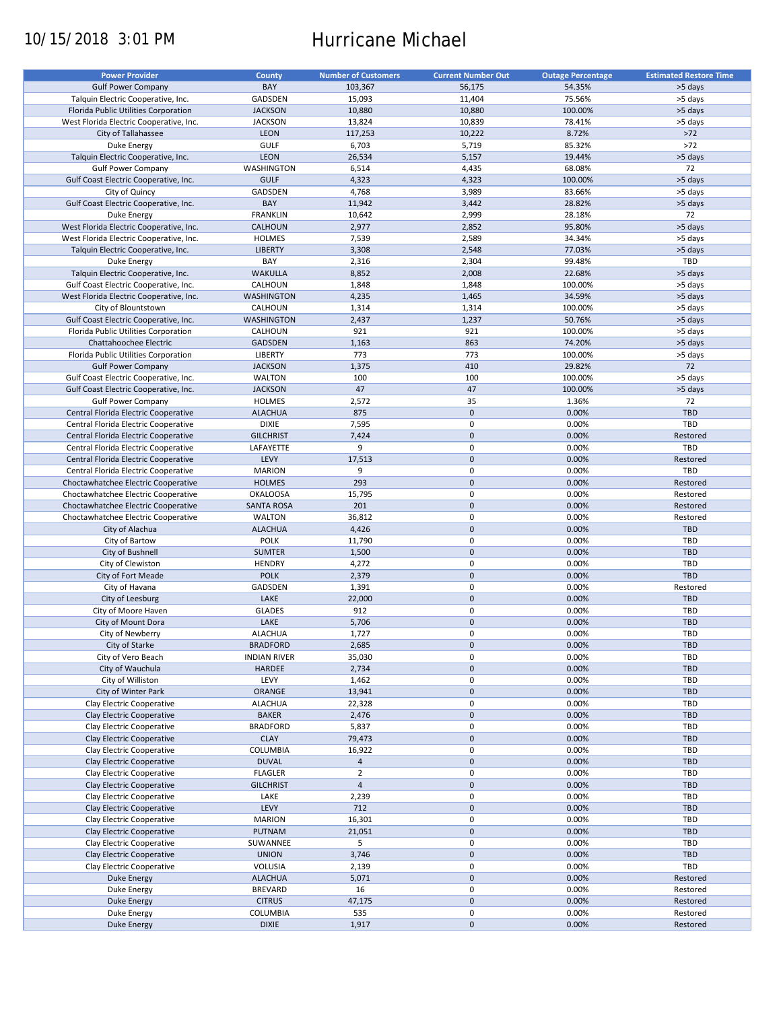# 10/15/2018 3:01 PM Hurricane Michael

| <b>Power Provider</b>                   | <b>County</b>       | <b>Number of Customers</b> | <b>Current Number Out</b> | <b>Outage Percentage</b> | <b>Estimated Restore Time</b> |
|-----------------------------------------|---------------------|----------------------------|---------------------------|--------------------------|-------------------------------|
|                                         |                     |                            |                           |                          |                               |
| <b>Gulf Power Company</b>               | BAY                 | 103,367                    | 56,175                    | 54.35%                   | >5 days                       |
| Talquin Electric Cooperative, Inc.      | GADSDEN             | 15,093                     | 11,404                    | 75.56%                   | >5 days                       |
| Florida Public Utilities Corporation    | <b>JACKSON</b>      | 10,880                     | 10,880                    | 100.00%                  | >5 days                       |
| West Florida Electric Cooperative, Inc. | <b>JACKSON</b>      | 13,824                     | 10,839                    | 78.41%                   | >5 days                       |
| City of Tallahassee                     | LEON                | 117,253                    | 10,222                    | 8.72%                    | $>72$                         |
| Duke Energy                             | <b>GULF</b>         | 6,703                      | 5,719                     | 85.32%                   | $>72$                         |
|                                         |                     |                            |                           |                          |                               |
| Talquin Electric Cooperative, Inc.      | LEON                | 26,534                     | 5,157                     | 19.44%                   | >5 days                       |
| <b>Gulf Power Company</b>               | WASHINGTON          | 6,514                      | 4,435                     | 68.08%                   | 72                            |
| Gulf Coast Electric Cooperative, Inc.   | <b>GULF</b>         | 4,323                      | 4,323                     | 100.00%                  | >5 days                       |
| City of Quincy                          | GADSDEN             | 4,768                      | 3,989                     | 83.66%                   | >5 days                       |
| Gulf Coast Electric Cooperative, Inc.   | BAY                 | 11,942                     | 3,442                     | 28.82%                   | >5 days                       |
| Duke Energy                             | <b>FRANKLIN</b>     | 10,642                     | 2,999                     | 28.18%                   | 72                            |
|                                         |                     |                            |                           |                          |                               |
| West Florida Electric Cooperative, Inc. | <b>CALHOUN</b>      | 2,977                      | 2,852                     | 95.80%                   | >5 days                       |
| West Florida Electric Cooperative, Inc. | <b>HOLMES</b>       | 7,539                      | 2,589                     | 34.34%                   | >5 days                       |
| Talquin Electric Cooperative, Inc.      | <b>LIBERTY</b>      | 3,308                      | 2,548                     | 77.03%                   | >5 days                       |
| Duke Energy                             | BAY                 | 2,316                      | 2,304                     | 99.48%                   | TBD                           |
| Talquin Electric Cooperative, Inc.      | <b>WAKULLA</b>      | 8,852                      | 2,008                     | 22.68%                   | >5 days                       |
| Gulf Coast Electric Cooperative, Inc.   | CALHOUN             | 1,848                      | 1,848                     | 100.00%                  | >5 days                       |
| West Florida Electric Cooperative, Inc. | <b>WASHINGTON</b>   | 4,235                      | 1,465                     | 34.59%                   | >5 days                       |
|                                         |                     |                            |                           |                          |                               |
| City of Blountstown                     | CALHOUN             | 1,314                      | 1,314                     | 100.00%                  | >5 days                       |
| Gulf Coast Electric Cooperative, Inc.   | <b>WASHINGTON</b>   | 2,437                      | 1,237                     | 50.76%                   | >5 days                       |
| Florida Public Utilities Corporation    | CALHOUN             | 921                        | 921                       | 100.00%                  | >5 days                       |
| Chattahoochee Electric                  | <b>GADSDEN</b>      | 1,163                      | 863                       | 74.20%                   | >5 days                       |
| Florida Public Utilities Corporation    | <b>LIBERTY</b>      | 773                        | 773                       | 100.00%                  | >5 days                       |
| <b>Gulf Power Company</b>               | <b>JACKSON</b>      | 1,375                      | 410                       | 29.82%                   | 72                            |
|                                         |                     |                            |                           |                          |                               |
| Gulf Coast Electric Cooperative, Inc.   | <b>WALTON</b>       | 100                        | 100                       | 100.00%                  | >5 days                       |
| Gulf Coast Electric Cooperative, Inc.   | <b>JACKSON</b>      | 47                         | 47                        | 100.00%                  | >5 days                       |
| <b>Gulf Power Company</b>               | <b>HOLMES</b>       | 2,572                      | 35                        | 1.36%                    | 72                            |
| Central Florida Electric Cooperative    | <b>ALACHUA</b>      | 875                        | $\mathbf 0$               | 0.00%                    | <b>TBD</b>                    |
| Central Florida Electric Cooperative    | <b>DIXIE</b>        | 7,595                      | $\pmb{0}$                 | 0.00%                    | TBD                           |
| Central Florida Electric Cooperative    | <b>GILCHRIST</b>    | 7,424                      | $\mathbf 0$               | 0.00%                    | Restored                      |
|                                         |                     |                            |                           |                          |                               |
| Central Florida Electric Cooperative    | LAFAYETTE           | 9                          | $\pmb{0}$                 | 0.00%                    | TBD                           |
| Central Florida Electric Cooperative    | LEVY                | 17,513                     | $\mathbf 0$               | 0.00%                    | Restored                      |
| Central Florida Electric Cooperative    | <b>MARION</b>       | 9                          | $\pmb{0}$                 | 0.00%                    | TBD                           |
| Choctawhatchee Electric Cooperative     | <b>HOLMES</b>       | 293                        | $\mathbf 0$               | 0.00%                    | Restored                      |
| Choctawhatchee Electric Cooperative     | <b>OKALOOSA</b>     | 15,795                     | 0                         | 0.00%                    | Restored                      |
| Choctawhatchee Electric Cooperative     | <b>SANTA ROSA</b>   | 201                        | $\mathbf 0$               | 0.00%                    | Restored                      |
|                                         |                     |                            |                           |                          |                               |
| Choctawhatchee Electric Cooperative     | <b>WALTON</b>       | 36,812                     | $\pmb{0}$                 | 0.00%                    | Restored                      |
| City of Alachua                         | <b>ALACHUA</b>      | 4,426                      | $\mathbf 0$               | 0.00%                    | <b>TBD</b>                    |
| City of Bartow                          | <b>POLK</b>         | 11,790                     | 0                         | 0.00%                    | TBD                           |
| City of Bushnell                        | <b>SUMTER</b>       | 1,500                      | $\mathbf 0$               | 0.00%                    | TBD                           |
| City of Clewiston                       | <b>HENDRY</b>       | 4,272                      | 0                         | 0.00%                    | TBD                           |
| City of Fort Meade                      | <b>POLK</b>         | 2,379                      | $\mathbf 0$               | 0.00%                    | TBD                           |
| City of Havana                          | GADSDEN             | 1,391                      | 0                         | 0.00%                    | Restored                      |
|                                         |                     |                            | $\mathbf 0$               |                          | <b>TBD</b>                    |
| City of Leesburg                        | LAKE                | 22,000                     |                           | 0.00%                    |                               |
| City of Moore Haven                     | <b>GLADES</b>       | 912                        | $\pmb{0}$                 | 0.00%                    | <b>TBD</b>                    |
| City of Mount Dora                      | LAKE                | 5,706                      | $\pmb{0}$                 | 0.00%                    | <b>TBD</b>                    |
| City of Newberry                        | <b>ALACHUA</b>      | 1,727                      | $\mathbf 0$               | 0.00%                    | TBD                           |
| City of Starke                          | <b>BRADFORD</b>     | 2,685                      | $\pmb{0}$                 | 0.00%                    | TBD                           |
| City of Vero Beach                      | <b>INDIAN RIVER</b> | 35,030                     | 0                         | 0.00%                    | TBD                           |
| City of Wauchula                        | <b>HARDEE</b>       | 2,734                      | $\mathbf 0$               | 0.00%                    | <b>TBD</b>                    |
|                                         |                     |                            |                           |                          |                               |
| City of Williston                       | LEVY                | 1,462                      | 0                         | 0.00%                    | TBD                           |
| City of Winter Park                     | ORANGE              | 13,941                     | $\mathsf{O}\xspace$       | 0.00%                    | TBD                           |
| Clay Electric Cooperative               | <b>ALACHUA</b>      | 22,328                     | $\pmb{0}$                 | 0.00%                    | TBD                           |
| Clay Electric Cooperative               | <b>BAKER</b>        | 2,476                      | $\mathsf{O}\xspace$       | 0.00%                    | TBD                           |
| Clay Electric Cooperative               | <b>BRADFORD</b>     | 5,837                      | 0                         | 0.00%                    | TBD                           |
| Clay Electric Cooperative               | <b>CLAY</b>         | 79,473                     | $\mathsf{O}\xspace$       | 0.00%                    | <b>TBD</b>                    |
| Clay Electric Cooperative               | COLUMBIA            | 16,922                     | 0                         | 0.00%                    | TBD                           |
| Clay Electric Cooperative               |                     |                            |                           |                          |                               |
|                                         | <b>DUVAL</b>        | $\overline{a}$             | $\pmb{0}$                 | 0.00%                    | <b>TBD</b>                    |
| Clay Electric Cooperative               | <b>FLAGLER</b>      | $\overline{2}$             | 0                         | 0.00%                    | TBD                           |
| Clay Electric Cooperative               | <b>GILCHRIST</b>    | $\overline{4}$             | $\pmb{0}$                 | 0.00%                    | <b>TBD</b>                    |
| Clay Electric Cooperative               | LAKE                | 2,239                      | $\pmb{0}$                 | 0.00%                    | TBD                           |
| Clay Electric Cooperative               | LEVY                | 712                        | $\pmb{0}$                 | 0.00%                    | <b>TBD</b>                    |
| Clay Electric Cooperative               | <b>MARION</b>       | 16,301                     | 0                         | 0.00%                    | TBD                           |
|                                         |                     |                            | $\pmb{0}$                 |                          | <b>TBD</b>                    |
| Clay Electric Cooperative               | PUTNAM              | 21,051                     |                           | 0.00%                    |                               |
| Clay Electric Cooperative               | SUWANNEE            | 5                          | $\pmb{0}$                 | 0.00%                    | TBD                           |
| Clay Electric Cooperative               | <b>UNION</b>        | 3,746                      | $\pmb{0}$                 | 0.00%                    | TBD                           |
| Clay Electric Cooperative               | VOLUSIA             | 2,139                      | 0                         | 0.00%                    | TBD                           |
| Duke Energy                             | <b>ALACHUA</b>      | 5,071                      | $\pmb{0}$                 | 0.00%                    | Restored                      |
| Duke Energy                             | <b>BREVARD</b>      | 16                         | 0                         | 0.00%                    | Restored                      |
| <b>Duke Energy</b>                      | <b>CITRUS</b>       | 47,175                     | $\pmb{0}$                 | 0.00%                    | Restored                      |
|                                         | COLUMBIA            | 535                        | 0                         | 0.00%                    |                               |
| Duke Energy                             |                     |                            |                           |                          | Restored                      |
| Duke Energy                             | <b>DIXIE</b>        | 1,917                      | $\pmb{0}$                 | 0.00%                    | Restored                      |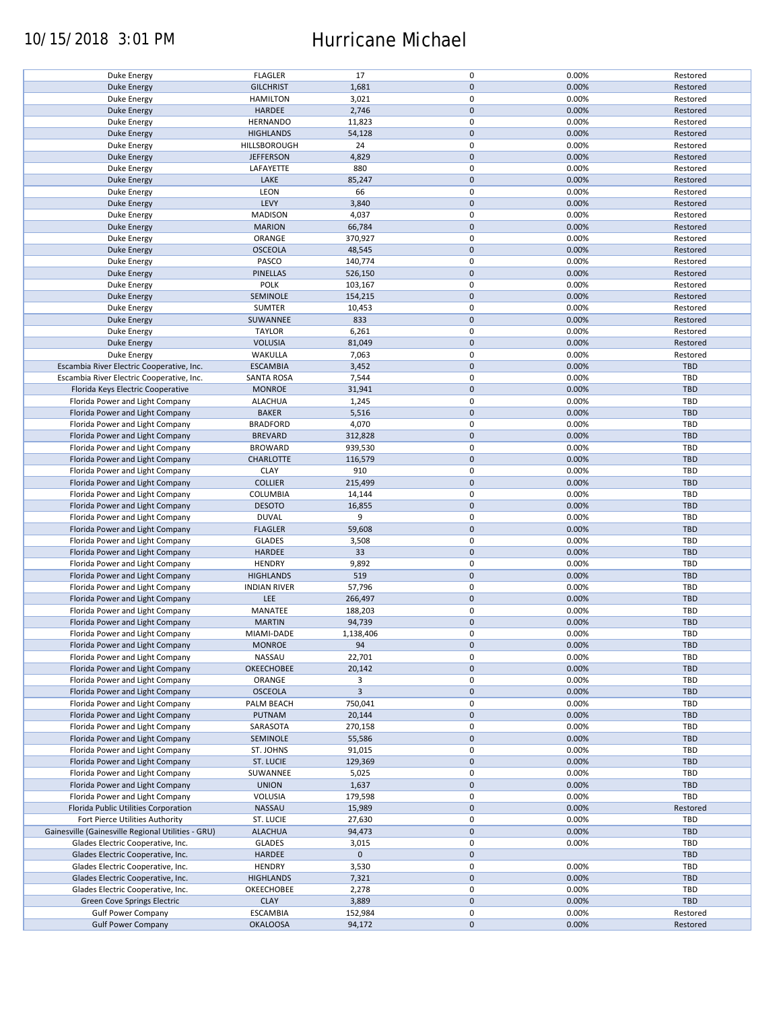# 10/15/2018 3:01 PM Hurricane Michael

| <b>Duke Energy</b>                                 | <b>FLAGLER</b>      | 17                      | $\pmb{0}$           | 0.00% | Restored   |
|----------------------------------------------------|---------------------|-------------------------|---------------------|-------|------------|
| <b>Duke Energy</b>                                 | <b>GILCHRIST</b>    | 1,681                   | $\mathbf 0$         | 0.00% | Restored   |
| <b>Duke Energy</b>                                 | <b>HAMILTON</b>     | 3,021                   | 0                   | 0.00% | Restored   |
|                                                    |                     |                         | $\mathbf 0$         |       |            |
| <b>Duke Energy</b>                                 | HARDEE              | 2,746                   |                     | 0.00% | Restored   |
| Duke Energy                                        | <b>HERNANDO</b>     | 11,823                  | $\pmb{0}$           | 0.00% | Restored   |
| <b>Duke Energy</b>                                 | <b>HIGHLANDS</b>    | 54,128                  | $\mathbf 0$         | 0.00% | Restored   |
|                                                    |                     |                         | $\pmb{0}$           |       |            |
| Duke Energy                                        | HILLSBOROUGH        | 24                      |                     | 0.00% | Restored   |
| <b>Duke Energy</b>                                 | <b>JEFFERSON</b>    | 4,829                   | $\mathbf 0$         | 0.00% | Restored   |
| Duke Energy                                        | LAFAYETTE           | 880                     | $\pmb{0}$           | 0.00% | Restored   |
|                                                    | LAKE                |                         | $\pmb{0}$           | 0.00% |            |
| <b>Duke Energy</b>                                 |                     | 85,247                  |                     |       | Restored   |
| Duke Energy                                        | LEON                | 66                      | $\pmb{0}$           | 0.00% | Restored   |
| <b>Duke Energy</b>                                 | LEVY                | 3,840                   | $\mathbf 0$         | 0.00% | Restored   |
| Duke Energy                                        | <b>MADISON</b>      | 4,037                   | $\pmb{0}$           | 0.00% | Restored   |
|                                                    |                     |                         |                     |       |            |
| <b>Duke Energy</b>                                 | <b>MARION</b>       | 66,784                  | $\mathbf 0$         | 0.00% | Restored   |
| Duke Energy                                        | ORANGE              | 370,927                 | 0                   | 0.00% | Restored   |
| <b>Duke Energy</b>                                 | <b>OSCEOLA</b>      | 48,545                  | $\mathbf 0$         | 0.00% | Restored   |
|                                                    |                     |                         |                     |       |            |
| Duke Energy                                        | PASCO               | 140,774                 | 0                   | 0.00% | Restored   |
| <b>Duke Energy</b>                                 | <b>PINELLAS</b>     | 526,150                 | $\pmb{0}$           | 0.00% | Restored   |
| Duke Energy                                        | <b>POLK</b>         | 103,167                 | 0                   | 0.00% | Restored   |
|                                                    |                     |                         |                     |       |            |
| <b>Duke Energy</b>                                 | SEMINOLE            | 154,215                 | $\pmb{0}$           | 0.00% | Restored   |
| <b>Duke Energy</b>                                 | <b>SUMTER</b>       | 10,453                  | 0                   | 0.00% | Restored   |
| <b>Duke Energy</b>                                 | SUWANNEE            | 833                     | $\pmb{0}$           | 0.00% | Restored   |
|                                                    |                     |                         |                     |       |            |
| <b>Duke Energy</b>                                 | <b>TAYLOR</b>       | 6,261                   | $\pmb{0}$           | 0.00% | Restored   |
| <b>Duke Energy</b>                                 | <b>VOLUSIA</b>      | 81,049                  | $\pmb{0}$           | 0.00% | Restored   |
| <b>Duke Energy</b>                                 | WAKULLA             | 7,063                   | $\pmb{0}$           | 0.00% | Restored   |
|                                                    |                     |                         |                     |       |            |
| Escambia River Electric Cooperative, Inc.          | <b>ESCAMBIA</b>     | 3,452                   | $\mathbf 0$         | 0.00% | <b>TBD</b> |
| Escambia River Electric Cooperative, Inc.          | <b>SANTA ROSA</b>   | 7,544                   | $\pmb{0}$           | 0.00% | <b>TBD</b> |
| Florida Keys Electric Cooperative                  | <b>MONROE</b>       |                         | $\pmb{0}$           | 0.00% | <b>TBD</b> |
|                                                    |                     | 31,941                  |                     |       |            |
| Florida Power and Light Company                    | <b>ALACHUA</b>      | 1,245                   | $\pmb{0}$           | 0.00% | <b>TBD</b> |
| Florida Power and Light Company                    | <b>BAKER</b>        | 5,516                   | $\pmb{0}$           | 0.00% | <b>TBD</b> |
|                                                    |                     |                         |                     |       |            |
| Florida Power and Light Company                    | <b>BRADFORD</b>     | 4,070                   | $\pmb{0}$           | 0.00% | <b>TBD</b> |
| Florida Power and Light Company                    | <b>BREVARD</b>      | 312,828                 | $\mathsf{O}\xspace$ | 0.00% | <b>TBD</b> |
| Florida Power and Light Company                    | <b>BROWARD</b>      | 939,530                 | $\pmb{0}$           | 0.00% | <b>TBD</b> |
|                                                    |                     |                         |                     |       |            |
| Florida Power and Light Company                    | <b>CHARLOTTE</b>    | 116,579                 | $\mathsf{O}\xspace$ | 0.00% | <b>TBD</b> |
| Florida Power and Light Company                    | <b>CLAY</b>         | 910                     | $\pmb{0}$           | 0.00% | TBD        |
| Florida Power and Light Company                    | <b>COLLIER</b>      | 215,499                 | $\mathbf 0$         | 0.00% | <b>TBD</b> |
|                                                    |                     |                         |                     |       |            |
| Florida Power and Light Company                    | COLUMBIA            | 14,144                  | 0                   | 0.00% | <b>TBD</b> |
| Florida Power and Light Company                    | <b>DESOTO</b>       | 16,855                  | $\mathbf 0$         | 0.00% | <b>TBD</b> |
| Florida Power and Light Company                    | <b>DUVAL</b>        | 9                       | 0                   | 0.00% | TBD        |
|                                                    |                     |                         | $\pmb{0}$           |       | <b>TBD</b> |
| Florida Power and Light Company                    | <b>FLAGLER</b>      | 59,608                  |                     | 0.00% |            |
| Florida Power and Light Company                    | <b>GLADES</b>       | 3,508                   | 0                   | 0.00% | <b>TBD</b> |
| Florida Power and Light Company                    | HARDEE              | 33                      | $\mathbf 0$         | 0.00% | <b>TBD</b> |
|                                                    |                     |                         |                     |       |            |
| Florida Power and Light Company                    | <b>HENDRY</b>       | 9,892                   | 0                   | 0.00% | <b>TBD</b> |
| Florida Power and Light Company                    | <b>HIGHLANDS</b>    | 519                     | $\mathbf 0$         | 0.00% | <b>TBD</b> |
| Florida Power and Light Company                    | <b>INDIAN RIVER</b> | 57,796                  | $\pmb{0}$           | 0.00% | TBD        |
|                                                    |                     |                         |                     |       |            |
| Florida Power and Light Company                    | LEE                 | 266,497                 | $\mathbf 0$         | 0.00% | <b>TBD</b> |
| Florida Power and Light Company                    | MANATEE             | 188,203                 | $\pmb{0}$           | 0.00% | <b>TBD</b> |
| Florida Power and Light Company                    | <b>MARTIN</b>       | 94,739                  | $\pmb{0}$           | 0.00% | <b>TBD</b> |
|                                                    |                     |                         |                     |       |            |
| Florida Power and Light Company                    | <b>MIAMI-DADE</b>   | 1,138,406               | $\pmb{0}$           | 0.00% | <b>TBD</b> |
| Florida Power and Light Company                    | <b>MONROE</b>       | 94                      | $\mathsf{O}\xspace$ | 0.00% | <b>TBD</b> |
| Florida Power and Light Company                    | NASSAU              | 22,701                  | 0                   | 0.00% | <b>TBD</b> |
|                                                    |                     |                         |                     |       |            |
| Florida Power and Light Company                    | <b>OKEECHOBEE</b>   | 20,142                  | $\mathsf{O}\xspace$ | 0.00% | <b>TBD</b> |
| Florida Power and Light Company                    | ORANGE              | 3                       | 0                   | 0.00% | <b>TBD</b> |
| Florida Power and Light Company                    | <b>OSCEOLA</b>      | $\overline{\mathbf{3}}$ | $\pmb{0}$           | 0.00% | <b>TBD</b> |
|                                                    |                     |                         |                     |       |            |
| Florida Power and Light Company                    | PALM BEACH          | 750,041                 | 0                   | 0.00% | <b>TBD</b> |
| Florida Power and Light Company                    | PUTNAM              | 20,144                  | $\mathbf 0$         | 0.00% | <b>TBD</b> |
| Florida Power and Light Company                    | SARASOTA            | 270,158                 | 0                   | 0.00% | <b>TBD</b> |
|                                                    |                     |                         |                     |       |            |
| Florida Power and Light Company                    | SEMINOLE            | 55,586                  | $\mathsf{O}\xspace$ | 0.00% | <b>TBD</b> |
| Florida Power and Light Company                    | ST. JOHNS           | 91,015                  | 0                   | 0.00% | <b>TBD</b> |
| Florida Power and Light Company                    | ST. LUCIE           | 129,369                 | $\mathbf 0$         | 0.00% | <b>TBD</b> |
|                                                    |                     |                         |                     |       |            |
| Florida Power and Light Company                    | SUWANNEE            | 5,025                   | 0                   | 0.00% | <b>TBD</b> |
| Florida Power and Light Company                    | <b>UNION</b>        | 1,637                   | $\mathsf{O}\xspace$ | 0.00% | TBD        |
| Florida Power and Light Company                    | <b>VOLUSIA</b>      | 179,598                 | 0                   | 0.00% | TBD        |
|                                                    |                     |                         |                     |       |            |
| Florida Public Utilities Corporation               | NASSAU              | 15,989                  | $\pmb{0}$           | 0.00% | Restored   |
| Fort Pierce Utilities Authority                    | ST. LUCIE           | 27,630                  | 0                   | 0.00% | TBD        |
|                                                    |                     |                         |                     |       |            |
| Gainesville (Gainesville Regional Utilities - GRU) | <b>ALACHUA</b>      | 94,473                  | $\mathbf 0$         | 0.00% | <b>TBD</b> |
| Glades Electric Cooperative, Inc.                  | <b>GLADES</b>       | 3,015                   | 0                   | 0.00% | <b>TBD</b> |
| Glades Electric Cooperative, Inc.                  | HARDEE              | $\mathbf 0$             | $\mathbf 0$         |       | <b>TBD</b> |
|                                                    |                     |                         |                     |       |            |
| Glades Electric Cooperative, Inc.                  | <b>HENDRY</b>       | 3,530                   | $\pmb{0}$           | 0.00% | TBD        |
| Glades Electric Cooperative, Inc.                  | <b>HIGHLANDS</b>    | 7,321                   | $\pmb{0}$           | 0.00% | <b>TBD</b> |
| Glades Electric Cooperative, Inc.                  | OKEECHOBEE          | 2,278                   | $\pmb{0}$           | 0.00% | <b>TBD</b> |
|                                                    |                     |                         |                     |       |            |
| Green Cove Springs Electric                        | <b>CLAY</b>         | 3,889                   | $\mathbf 0$         | 0.00% | <b>TBD</b> |
| <b>Gulf Power Company</b>                          | <b>ESCAMBIA</b>     | 152,984                 | $\pmb{0}$           | 0.00% | Restored   |
| <b>Gulf Power Company</b>                          | <b>OKALOOSA</b>     | 94,172                  | $\pmb{0}$           | 0.00% | Restored   |
|                                                    |                     |                         |                     |       |            |